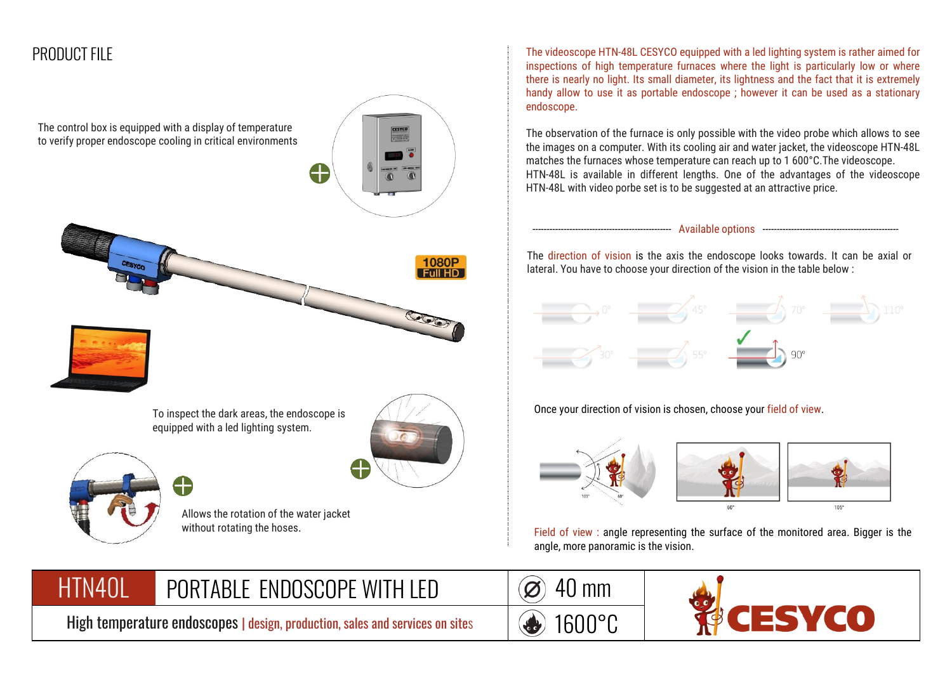

The control box is equipped with a display of temperature to verify proper endoscope cooling in critical environments







To inspect the dark areas, the endoscope is equipped with a led lighting system.



€

Allows the rotation of the water jacket without rotating the hoses.

The videoscope HTN-48L CESYCO equipped with a led lighting system is rather aimed for inspections of high temperature furnaces where the light is particularly low or where there is nearly no light. Its small diameter, its lightness and the fact that it is extremely handy allow to use it as portable endoscope ; however it can be used as a stationary endoscope.

The observation of the furnace is only possible with the video probe which allows to see the images on a computer. With its cooling air and water jacket, the videoscope HTN-48L matches the furnaces whose temperature can reach up to 1 600°C.The videoscope. HTN-48L is available in different lengths. One of the advantages of the videoscope HTN-48L with video porbe set is to be suggested at an attractive price.

------------------------------------------------- Available options ------------------------------------------------

The direction of vision is the axis the endoscope looks towards. It can be axial or lateral. You have to choose your direction of the vision in the table below :



Once your direction of vision is chosen, choose your field of view.





Field of view : angle representing the surface of the monitored area. Bigger is the angle, more panoramic is the vision.



High temperature endoscopes | design, production, sales and services on sites